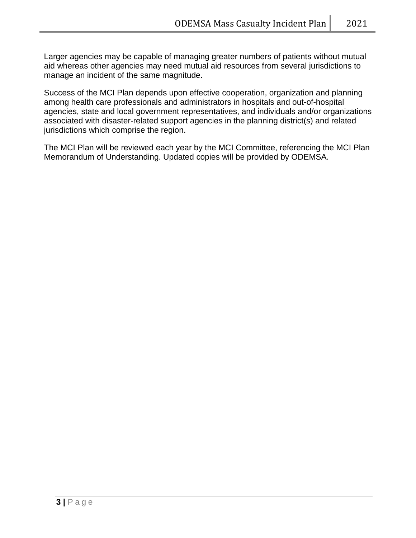Larger agencies may be capable of managing greater numbers of patients without mutual aid whereas other agencies may need mutual aid resources from several jurisdictions to manage an incident of the same magnitude.

Success of the MCI Plan depends upon effective cooperation, organization and planning among health care professionals and administrators in hospitals and out-of-hospital agencies, state and local government representatives, and individuals and/or organizations associated with disaster-related support agencies in the planning district(s) and related jurisdictions which comprise the region.

The MCI Plan will be reviewed each year by the MCI Committee, referencing the MCI Plan Memorandum of Understanding. Updated copies will be provided by ODEMSA.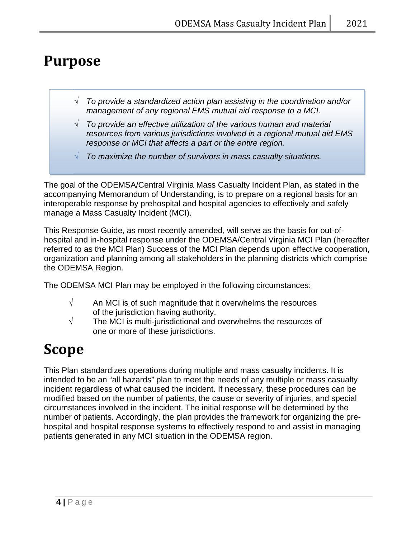## **Purpose**

- √ *To provide a standardized action plan assisting in the coordination and/or management of any regional EMS mutual aid response to a MCI.*
- √ *To provide an effective utilization of the various human and material resources from various jurisdictions involved in a regional mutual aid EMS response or MCI that affects a part or the entire region.*
- √ *To maximize the number of survivors in mass casualty situations.*

The goal of the ODEMSA/Central Virginia Mass Casualty Incident Plan, as stated in the accompanying Memorandum of Understanding, is to prepare on a regional basis for an interoperable response by prehospital and hospital agencies to effectively and safely manage a Mass Casualty Incident (MCI).

This Response Guide, as most recently amended, will serve as the basis for out-ofhospital and in-hospital response under the ODEMSA/Central Virginia MCI Plan (hereafter referred to as the MCI Plan) Success of the MCI Plan depends upon effective cooperation, organization and planning among all stakeholders in the planning districts which comprise the ODEMSA Region.

The ODEMSA MCI Plan may be employed in the following circumstances:

- $\sqrt{ }$  An MCI is of such magnitude that it overwhelms the resources of the jurisdiction having authority.
- $\sqrt{ }$  The MCI is multi-jurisdictional and overwhelms the resources of one or more of these jurisdictions.

## **Scope**

This Plan standardizes operations during multiple and mass casualty incidents. It is intended to be an "all hazards" plan to meet the needs of any multiple or mass casualty incident regardless of what caused the incident. If necessary, these procedures can be modified based on the number of patients, the cause or severity of injuries, and special circumstances involved in the incident. The initial response will be determined by the number of patients. Accordingly, the plan provides the framework for organizing the prehospital and hospital response systems to effectively respond to and assist in managing patients generated in any MCI situation in the ODEMSA region.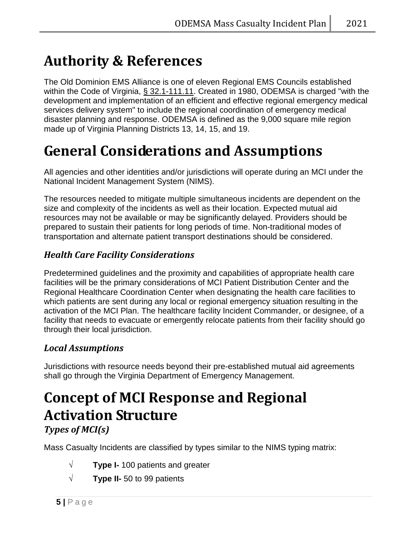## **Authority & References**

The Old Dominion EMS Alliance is one of eleven Regional EMS Councils established within the Code of Virginia, § 32.1-111.11. Created in 1980, ODEMSA is charged "with the development and implementation of an efficient and effective regional emergency medical services delivery system" to include the regional coordination of emergency medical disaster planning and response. ODEMSA is defined as the 9,000 square mile region made up of Virginia Planning Districts 13, 14, 15, and 19.

## **General Considerations and Assumptions**

All agencies and other identities and/or jurisdictions will operate during an MCI under the National Incident Management System (NIMS).

The resources needed to mitigate multiple simultaneous incidents are dependent on the size and complexity of the incidents as well as their location. Expected mutual aid resources may not be available or may be significantly delayed. Providers should be prepared to sustain their patients for long periods of time. Non-traditional modes of transportation and alternate patient transport destinations should be considered.

### *Health Care Facility Considerations*

Predetermined guidelines and the proximity and capabilities of appropriate health care facilities will be the primary considerations of MCI Patient Distribution Center and the Regional Healthcare Coordination Center when designating the health care facilities to which patients are sent during any local or regional emergency situation resulting in the activation of the MCI Plan. The healthcare facility Incident Commander, or designee, of a facility that needs to evacuate or emergently relocate patients from their facility should go through their local jurisdiction.

### *Local Assumptions*

Jurisdictions with resource needs beyond their pre-established mutual aid agreements shall go through the Virginia Department of Emergency Management.

## **Concept of MCI Response and Regional Activation Structure** *Types of MCI(s)*

Mass Casualty Incidents are classified by types similar to the NIMS typing matrix:

- √ **Type I-** 100 patients and greater
- √ **Type II-** 50 to 99 patients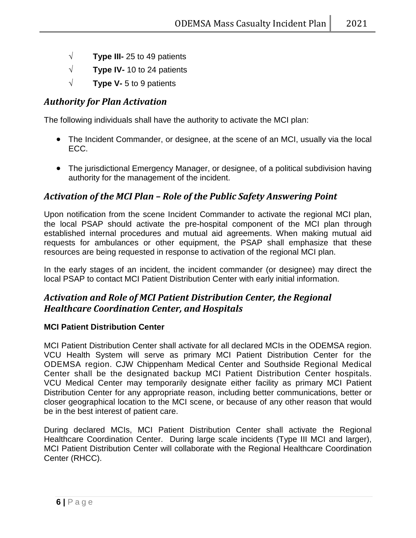- √ **Type III-** 25 to 49 patients
- √ **Type IV-** 10 to 24 patients
- √ **Type V-** 5 to 9 patients

### *Authority for Plan Activation*

The following individuals shall have the authority to activate the MCI plan:

- The Incident Commander, or designee, at the scene of an MCI, usually via the local ECC.
- The jurisdictional Emergency Manager, or designee, of a political subdivision having authority for the management of the incident.

### *Activation of the MCI Plan – Role of the Public Safety Answering Point*

Upon notification from the scene Incident Commander to activate the regional MCI plan, the local PSAP should activate the pre-hospital component of the MCI plan through established internal procedures and mutual aid agreements. When making mutual aid requests for ambulances or other equipment, the PSAP shall emphasize that these resources are being requested in response to activation of the regional MCI plan.

In the early stages of an incident, the incident commander (or designee) may direct the local PSAP to contact MCI Patient Distribution Center with early initial information.

### *Activation and Role of MCI Patient Distribution Center, the Regional Healthcare Coordination Center, and Hospitals*

#### **MCI Patient Distribution Center**

MCI Patient Distribution Center shall activate for all declared MCIs in the ODEMSA region. VCU Health System will serve as primary MCI Patient Distribution Center for the ODEMSA region. CJW Chippenham Medical Center and Southside Regional Medical Center shall be the designated backup MCI Patient Distribution Center hospitals. VCU Medical Center may temporarily designate either facility as primary MCI Patient Distribution Center for any appropriate reason, including better communications, better or closer geographical location to the MCI scene, or because of any other reason that would be in the best interest of patient care.

During declared MCIs, MCI Patient Distribution Center shall activate the Regional Healthcare Coordination Center. During large scale incidents (Type III MCI and larger), MCI Patient Distribution Center will collaborate with the Regional Healthcare Coordination Center (RHCC).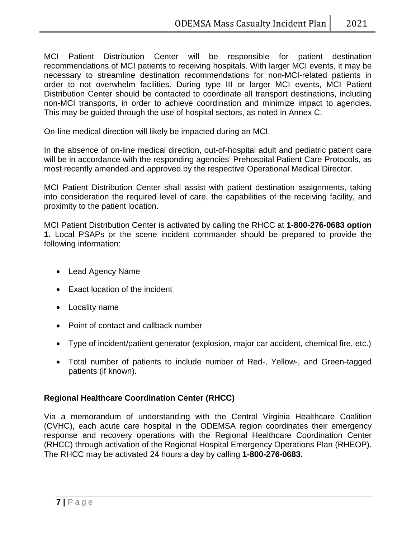MCI Patient Distribution Center will be responsible for patient destination recommendations of MCI patients to receiving hospitals. With larger MCI events, it may be necessary to streamline destination recommendations for non-MCI-related patients in order to not overwhelm facilities. During type III or larger MCI events, MCI Patient Distribution Center should be contacted to coordinate all transport destinations, including non-MCI transports, in order to achieve coordination and minimize impact to agencies. This may be guided through the use of hospital sectors, as noted in Annex C.

On-line medical direction will likely be impacted during an MCI.

In the absence of on-line medical direction, out-of-hospital adult and pediatric patient care will be in accordance with the responding agencies' Prehospital Patient Care Protocols, as most recently amended and approved by the respective Operational Medical Director.

MCI Patient Distribution Center shall assist with patient destination assignments, taking into consideration the required level of care, the capabilities of the receiving facility, and proximity to the patient location.

MCI Patient Distribution Center is activated by calling the RHCC at **1-800-276-0683 option 1.** Local PSAPs or the scene incident commander should be prepared to provide the following information:

- Lead Agency Name
- Exact location of the incident
- Locality name
- Point of contact and callback number
- Type of incident/patient generator (explosion, major car accident, chemical fire, etc.)
- Total number of patients to include number of Red-, Yellow-, and Green-tagged patients (if known).

#### **Regional Healthcare Coordination Center (RHCC)**

Via a memorandum of understanding with the Central Virginia Healthcare Coalition (CVHC), each acute care hospital in the ODEMSA region coordinates their emergency response and recovery operations with the Regional Healthcare Coordination Center (RHCC) through activation of the Regional Hospital Emergency Operations Plan (RHEOP). The RHCC may be activated 24 hours a day by calling **1-800-276-0683**.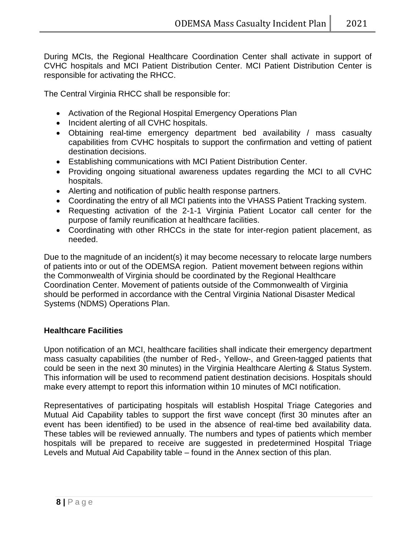During MCIs, the Regional Healthcare Coordination Center shall activate in support of CVHC hospitals and MCI Patient Distribution Center. MCI Patient Distribution Center is responsible for activating the RHCC.

The Central Virginia RHCC shall be responsible for:

- Activation of the Regional Hospital Emergency Operations Plan
- Incident alerting of all CVHC hospitals.
- Obtaining real-time emergency department bed availability / mass casualty capabilities from CVHC hospitals to support the confirmation and vetting of patient destination decisions.
- Establishing communications with MCI Patient Distribution Center.
- Providing ongoing situational awareness updates regarding the MCI to all CVHC hospitals.
- Alerting and notification of public health response partners.
- Coordinating the entry of all MCI patients into the VHASS Patient Tracking system.
- Requesting activation of the 2-1-1 Virginia Patient Locator call center for the purpose of family reunification at healthcare facilities.
- Coordinating with other RHCCs in the state for inter-region patient placement, as needed.

Due to the magnitude of an incident(s) it may become necessary to relocate large numbers of patients into or out of the ODEMSA region. Patient movement between regions within the Commonwealth of Virginia should be coordinated by the Regional Healthcare Coordination Center. Movement of patients outside of the Commonwealth of Virginia should be performed in accordance with the Central Virginia National Disaster Medical Systems (NDMS) Operations Plan.

#### **Healthcare Facilities**

Upon notification of an MCI, healthcare facilities shall indicate their emergency department mass casualty capabilities (the number of Red-, Yellow-, and Green-tagged patients that could be seen in the next 30 minutes) in the Virginia Healthcare Alerting & Status System. This information will be used to recommend patient destination decisions. Hospitals should make every attempt to report this information within 10 minutes of MCI notification.

Representatives of participating hospitals will establish Hospital Triage Categories and Mutual Aid Capability tables to support the first wave concept (first 30 minutes after an event has been identified) to be used in the absence of real-time bed availability data. These tables will be reviewed annually. The numbers and types of patients which member hospitals will be prepared to receive are suggested in predetermined Hospital Triage Levels and Mutual Aid Capability table – found in the Annex section of this plan.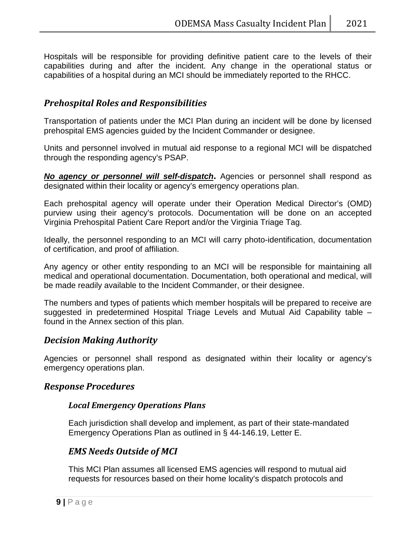Hospitals will be responsible for providing definitive patient care to the levels of their capabilities during and after the incident. Any change in the operational status or capabilities of a hospital during an MCI should be immediately reported to the RHCC.

### *Prehospital Roles and Responsibilities*

Transportation of patients under the MCI Plan during an incident will be done by licensed prehospital EMS agencies guided by the Incident Commander or designee.

Units and personnel involved in mutual aid response to a regional MCI will be dispatched through the responding agency's PSAP.

*No agency or personnel will self-dispatch***.** Agencies or personnel shall respond as designated within their locality or agency's emergency operations plan.

Each prehospital agency will operate under their Operation Medical Director's (OMD) purview using their agency's protocols. Documentation will be done on an accepted Virginia Prehospital Patient Care Report and/or the Virginia Triage Tag.

Ideally, the personnel responding to an MCI will carry photo-identification, documentation of certification, and proof of affiliation.

Any agency or other entity responding to an MCI will be responsible for maintaining all medical and operational documentation. Documentation, both operational and medical, will be made readily available to the Incident Commander, or their designee.

The numbers and types of patients which member hospitals will be prepared to receive are suggested in predetermined Hospital Triage Levels and Mutual Aid Capability table – found in the Annex section of this plan.

#### *Decision Making Authority*

Agencies or personnel shall respond as designated within their locality or agency's emergency operations plan.

#### *Response Procedures*

#### *Local Emergency Operations Plans*

Each jurisdiction shall develop and implement, as part of their state-mandated Emergency Operations Plan as outlined in § 44-146.19, Letter E.

#### *EMS Needs Outside of MCI*

This MCI Plan assumes all licensed EMS agencies will respond to mutual aid requests for resources based on their home locality's dispatch protocols and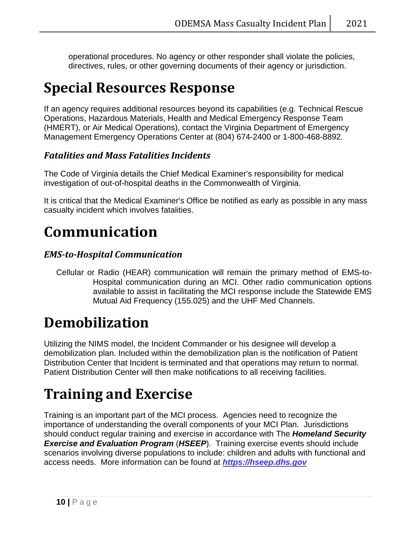operational procedures. No agency or other responder shall violate the policies, directives, rules, or other governing documents of their agency or jurisdiction.

# **Special Resources Response**

If an agency requires additional resources beyond its capabilities (e.g. Technical Rescue Operations, Hazardous Materials, Health and Medical Emergency Response Team (HMERT), or Air Medical Operations), contact the Virginia Department of Emergency Management Emergency Operations Center at (804) 674-2400 or 1-800-468-8892.

## *Fatalities and Mass Fatalities Incidents*

The Code of Virginia details the Chief Medical Examiner's responsibility for medical investigation of out-of-hospital deaths in the Commonwealth of Virginia.

It is critical that the Medical Examiner's Office be notified as early as possible in any mass casualty incident which involves fatalities.

## **Communication**

### *EMS-to-Hospital Communication*

Cellular or Radio (HEAR) communication will remain the primary method of EMS-to-Hospital communication during an MCI. Other radio communication options available to assist in facilitating the MCI response include the Statewide EMS Mutual Aid Frequency (155.025) and the UHF Med Channels.

# **Demobilization**

Utilizing the NIMS model, the Incident Commander or his designee will develop a demobilization plan. Included within the demobilization plan is the notification of Patient Distribution Center that Incident is terminated and that operations may return to normal. Patient Distribution Center will then make notifications to all receiving facilities.

# **Training and Exercise**

Training is an important part of the MCI process. Agencies need to recognize the importance of understanding the overall components of your MCI Plan. Jurisdictions should conduct regular training and exercise in accordance with The *Homeland Security Exercise and Evaluation Program* (*HSEEP*). Training exercise events should include scenarios involving diverse populations to include: children and adults with functional and access needs. More information can be found at *[https://hseep.dhs.gov](https://hseep.dhs.gov/)*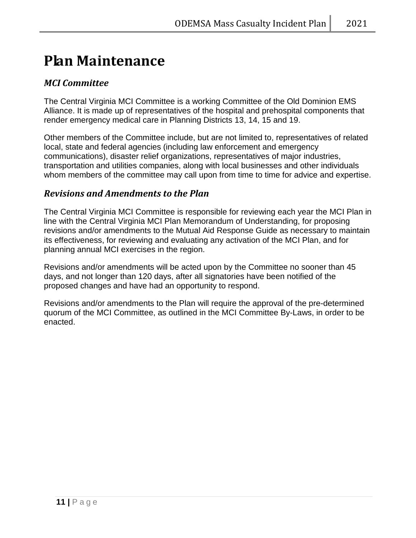## **Plan Maintenance**

### *MCI Committee*

The Central Virginia MCI Committee is a working Committee of the Old Dominion EMS Alliance. It is made up of representatives of the hospital and prehospital components that render emergency medical care in Planning Districts 13, 14, 15 and 19.

Other members of the Committee include, but are not limited to, representatives of related local, state and federal agencies (including law enforcement and emergency communications), disaster relief organizations, representatives of major industries, transportation and utilities companies, along with local businesses and other individuals whom members of the committee may call upon from time to time for advice and expertise.

### *Revisions and Amendments to the Plan*

The Central Virginia MCI Committee is responsible for reviewing each year the MCI Plan in line with the Central Virginia MCI Plan Memorandum of Understanding, for proposing revisions and/or amendments to the Mutual Aid Response Guide as necessary to maintain its effectiveness, for reviewing and evaluating any activation of the MCI Plan, and for planning annual MCI exercises in the region.

Revisions and/or amendments will be acted upon by the Committee no sooner than 45 days, and not longer than 120 days, after all signatories have been notified of the proposed changes and have had an opportunity to respond.

Revisions and/or amendments to the Plan will require the approval of the pre-determined quorum of the MCI Committee, as outlined in the MCI Committee By-Laws, in order to be enacted.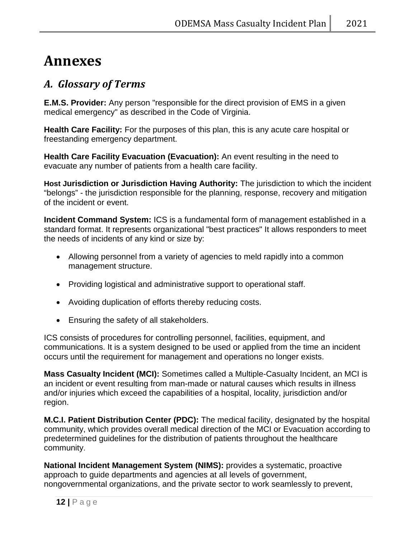## **Annexes**

## *A. Glossary of Terms*

**E.M.S. Provider:** Any person "responsible for the direct provision of EMS in a given medical emergency" as described in the Code of Virginia.

**Health Care Facility:** For the purposes of this plan, this is any acute care hospital or freestanding emergency department.

**Health Care Facility Evacuation (Evacuation):** An event resulting in the need to evacuate any number of patients from a health care facility.

**Host Jurisdiction or Jurisdiction Having Authority:** The jurisdiction to which the incident "belongs" - the jurisdiction responsible for the planning, response, recovery and mitigation of the incident or event.

**Incident Command System:** ICS is a fundamental form of management established in a standard format. It represents organizational "best practices" It allows responders to meet the needs of incidents of any kind or size by:

- Allowing personnel from a variety of agencies to meld rapidly into a common management structure.
- Providing logistical and administrative support to operational staff.
- Avoiding duplication of efforts thereby reducing costs.
- Ensuring the safety of all stakeholders.

ICS consists of procedures for controlling personnel, facilities, equipment, and communications. It is a system designed to be used or applied from the time an incident occurs until the requirement for management and operations no longer exists.

**Mass Casualty Incident (MCI):** Sometimes called a Multiple-Casualty Incident, an MCI is an incident or event resulting from man-made or natural causes which results in illness and/or injuries which exceed the capabilities of a hospital, locality, jurisdiction and/or region.

**M.C.I. Patient Distribution Center (PDC):** The medical facility, designated by the hospital community, which provides overall medical direction of the MCI or Evacuation according to predetermined guidelines for the distribution of patients throughout the healthcare community.

**National Incident Management System (NIMS):** provides a systematic, proactive approach to guide departments and agencies at all levels of government, nongovernmental organizations, and the private sector to work seamlessly to prevent,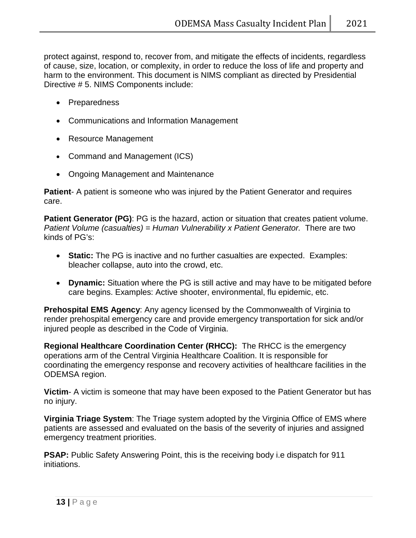protect against, respond to, recover from, and mitigate the effects of incidents, regardless of cause, size, location, or complexity, in order to reduce the loss of life and property and harm to the environment. This document is NIMS compliant as directed by Presidential Directive # 5. NIMS Components include:

- Preparedness
- Communications and Information Management
- Resource Management
- Command and Management (ICS)
- Ongoing Management and Maintenance

**Patient**- A patient is someone who was injured by the Patient Generator and requires care.

**Patient Generator (PG)**: PG is the hazard, action or situation that creates patient volume. *Patient Volume (casualties) = Human Vulnerability x Patient Generator.* There are two kinds of PG's:

- **Static:** The PG is inactive and no further casualties are expected. Examples: bleacher collapse, auto into the crowd, etc.
- **Dynamic:** Situation where the PG is still active and may have to be mitigated before care begins. Examples: Active shooter, environmental, flu epidemic, etc.

**Prehospital EMS Agency**: Any agency licensed by the Commonwealth of Virginia to render prehospital emergency care and provide emergency transportation for sick and/or injured people as described in the Code of Virginia.

**Regional Healthcare Coordination Center (RHCC):** The RHCC is the emergency operations arm of the Central Virginia Healthcare Coalition. It is responsible for coordinating the emergency response and recovery activities of healthcare facilities in the ODEMSA region.

**Victim**- A victim is someone that may have been exposed to the Patient Generator but has no injury.

**Virginia Triage System**: The Triage system adopted by the Virginia Office of EMS where patients are assessed and evaluated on the basis of the severity of injuries and assigned emergency treatment priorities.

**PSAP:** Public Safety Answering Point, this is the receiving body i.e dispatch for 911 initiations.